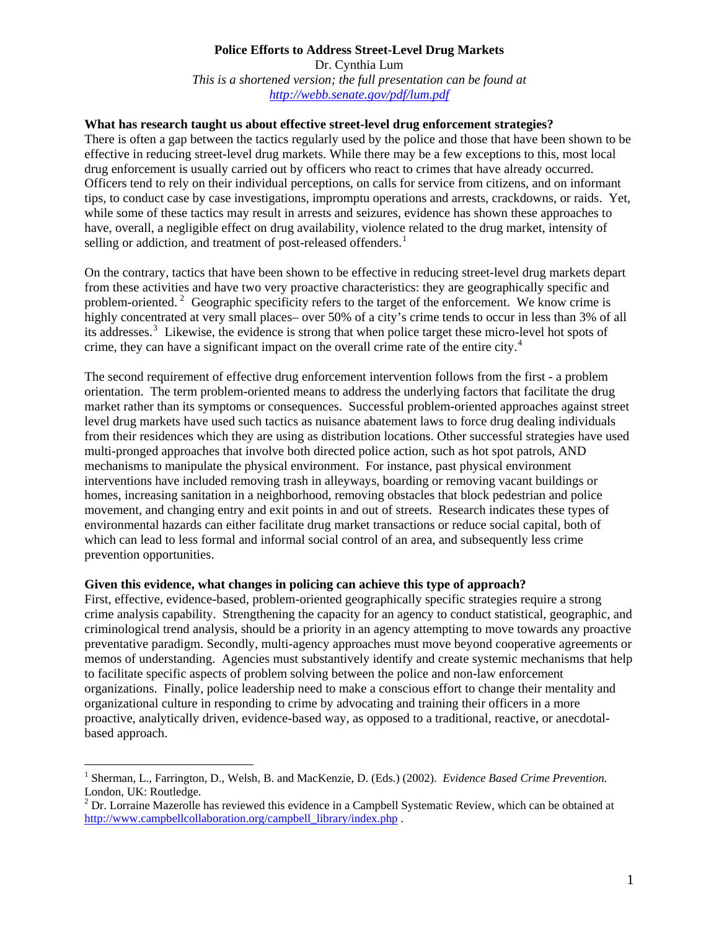## **Police Efforts to Address Street-Level Drug Markets**  Dr. Cynthia Lum *This is a shortened version; the full presentation can be found at <http://webb.senate.gov/pdf/lum.pdf>*

## **What has research taught us about effective street-level drug enforcement strategies?**

There is often a gap between the tactics regularly used by the police and those that have been shown to be effective in reducing street-level drug markets. While there may be a few exceptions to this, most local drug enforcement is usually carried out by officers who react to crimes that have already occurred. Officers tend to rely on their individual perceptions, on calls for service from citizens, and on informant tips, to conduct case by case investigations, impromptu operations and arrests, crackdowns, or raids. Yet, while some of these tactics may result in arrests and seizures, evidence has shown these approaches to have, overall, a negligible effect on drug availability, violence related to the drug market, intensity of selling or addiction, and treatment of post-released offenders.<sup>[1](#page-0-0)</sup>

On the contrary, tactics that have been shown to be effective in reducing street-level drug markets depart from these activities and have two very proactive characteristics: they are geographically specific and problem-oriented.<sup>[2](#page-0-1)</sup> Geographic specificity refers to the target of the enforcement. We know crime is highly concentrated at very small places– over 50% of a city's crime tends to occur in less than 3% of all its addresses.<sup>[3](#page-1-0)</sup> Likewise, the evidence is strong that when police target these micro-level hot spots of crime, they can have a significant impact on the overall crime rate of the entire city. $4$ 

The second requirement of effective drug enforcement intervention follows from the first - a problem orientation. The term problem-oriented means to address the underlying factors that facilitate the drug market rather than its symptoms or consequences. Successful problem-oriented approaches against street level drug markets have used such tactics as nuisance abatement laws to force drug dealing individuals from their residences which they are using as distribution locations. Other successful strategies have used multi-pronged approaches that involve both directed police action, such as hot spot patrols, AND mechanisms to manipulate the physical environment. For instance, past physical environment interventions have included removing trash in alleyways, boarding or removing vacant buildings or homes, increasing sanitation in a neighborhood, removing obstacles that block pedestrian and police movement, and changing entry and exit points in and out of streets. Research indicates these types of environmental hazards can either facilitate drug market transactions or reduce social capital, both of which can lead to less formal and informal social control of an area, and subsequently less crime prevention opportunities.

## **Given this evidence, what changes in policing can achieve this type of approach?**

 $\overline{a}$ 

First, effective, evidence-based, problem-oriented geographically specific strategies require a strong crime analysis capability. Strengthening the capacity for an agency to conduct statistical, geographic, and criminological trend analysis, should be a priority in an agency attempting to move towards any proactive preventative paradigm. Secondly, multi-agency approaches must move beyond cooperative agreements or memos of understanding. Agencies must substantively identify and create systemic mechanisms that help to facilitate specific aspects of problem solving between the police and non-law enforcement organizations. Finally, police leadership need to make a conscious effort to change their mentality and organizational culture in responding to crime by advocating and training their officers in a more proactive, analytically driven, evidence-based way, as opposed to a traditional, reactive, or anecdotalbased approach.

<span id="page-0-0"></span><sup>&</sup>lt;sup>1</sup> Sherman, L., Farrington, D., Welsh, B. and MacKenzie, D. (Eds.) (2002). *Evidence Based Crime Prevention*. London, UK: Routledge.

<span id="page-0-1"></span> $2^{2}$  Dr. Lorraine Mazerolle has reviewed this evidence in a Campbell Systematic Review, which can be obtained at http://www.campbellcollaboration.org/campbell\_library/index.php.